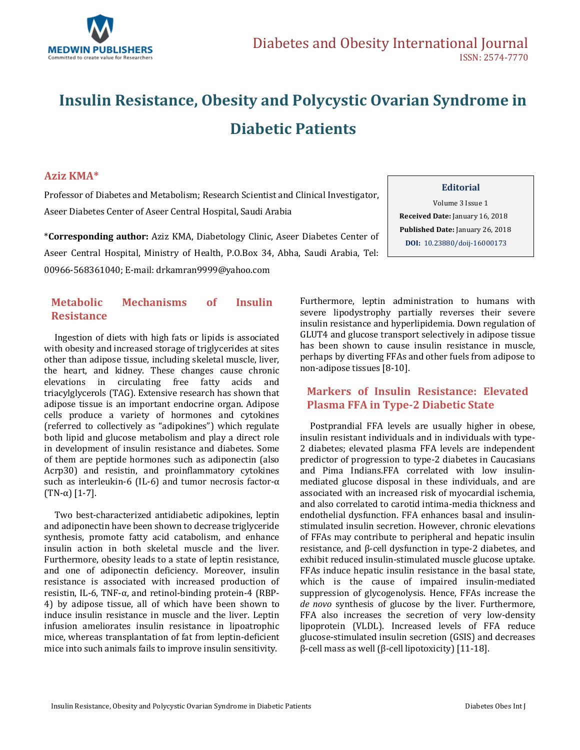

# **Insulin Resistance, Obesity and Polycystic Ovarian Syndrome in Diabetic Patients**

### **Aziz KMA\***

Professor of Diabetes and Metabolism; Research Scientist and Clinical Investigator, Aseer Diabetes Center of Aseer Central Hospital, Saudi Arabia

\***Corresponding author:** Aziz KMA, Diabetology Clinic, Aseer Diabetes Center of Aseer Central Hospital, Ministry of Health, P.O.Box 34, Abha, Saudi Arabia, Tel: 00966-568361040; E-mail[: drkamran9999@yahoo.com](mailto:drkamran9999@yahoo.com)

### **Metabolic Mechanisms of Insulin Resistance**

 Ingestion of diets with high fats or lipids is associated with obesity and increased storage of triglycerides at sites other than adipose tissue, including skeletal muscle, liver, the heart, and kidney. These changes cause chronic elevations in circulating free fatty acids and triacylglycerols (TAG). Extensive research has shown that adipose tissue is an important endocrine organ. Adipose cells produce a variety of hormones and cytokines (referred to collectively as "adipokines") which regulate both lipid and glucose metabolism and play a direct role in development of insulin resistance and diabetes. Some of them are peptide hormones such as adiponectin (also Acrp30) and resistin, and proinflammatory cytokines such as interleukin-6 (IL-6) and tumor necrosis factor-α (TN-α) [1-7].

 Two best-characterized antidiabetic adipokines, leptin and adiponectin have been shown to decrease triglyceride synthesis, promote fatty acid catabolism, and enhance insulin action in both skeletal muscle and the liver. Furthermore, obesity leads to a state of leptin resistance, and one of adiponectin deficiency. Moreover, insulin resistance is associated with increased production of resistin, IL-6, TNF-α, and retinol-binding protein-4 (RBP-4) by adipose tissue, all of which have been shown to induce insulin resistance in muscle and the liver. Leptin infusion ameliorates insulin resistance in lipoatrophic mice, whereas transplantation of fat from leptin-deficient mice into such animals fails to improve insulin sensitivity.

Furthermore, leptin administration to humans with severe lipodystrophy partially reverses their severe insulin resistance and hyperlipidemia. Down regulation of GLUT4 and glucose transport selectively in adipose tissue has been shown to cause insulin resistance in muscle, perhaps by diverting FFAs and other fuels from adipose to

**Editorial** Volume 3 Issue 1  **Received Date:** January 16, 2018  **Published Date:** January 26, 2018 **DOI:** [10.23880/doij-16000173](https://doi.org/10.23880/doij-16000173)

## **Markers of Insulin Resistance: Elevated Plasma FFA in Type-2 Diabetic State**

non-adipose tissues [8-10].

 Postprandial FFA levels are usually higher in obese, insulin resistant individuals and in individuals with type-2 diabetes; elevated plasma FFA levels are independent predictor of progression to type-2 diabetes in Caucasians and Pima Indians.FFA correlated with low insulinmediated glucose disposal in these individuals, and are associated with an increased risk of myocardial ischemia, and also correlated to carotid intima-media thickness and endothelial dysfunction. FFA enhances basal and insulinstimulated insulin secretion. However, chronic elevations of FFAs may contribute to peripheral and hepatic insulin resistance, and β-cell dysfunction in type-2 diabetes, and exhibit reduced insulin-stimulated muscle glucose uptake. FFAs induce hepatic insulin resistance in the basal state, which is the cause of impaired insulin-mediated suppression of glycogenolysis. Hence, FFAs increase the *de novo* synthesis of glucose by the liver. Furthermore, FFA also increases the secretion of very low-density lipoprotein (VLDL). Increased levels of FFA reduce glucose-stimulated insulin secretion (GSIS) and decreases β-cell mass as well (β-cell lipotoxicity) [11-18].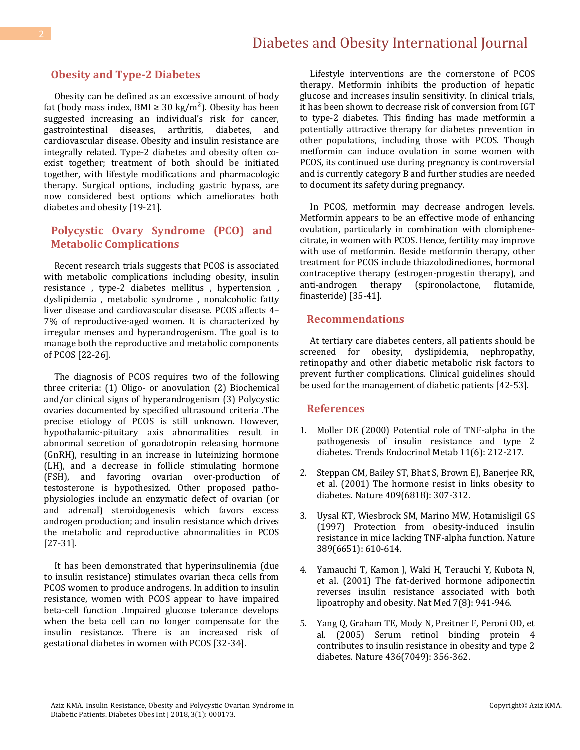# Diabetes and Obesity International Journal

### **Obesity and Type-2 Diabetes**

 Obesity can be defined as an excessive amount of body fat (body mass index, BMI  $\geq$  30 kg/m<sup>2</sup>). Obesity has been suggested increasing an individual's risk for cancer, gastrointestinal diseases, arthritis, diabetes, and cardiovascular disease. Obesity and insulin resistance are integrally related. Type-2 diabetes and obesity often coexist together; treatment of both should be initiated together, with lifestyle modifications and pharmacologic therapy. Surgical options, including gastric bypass, are now considered best options which ameliorates both diabetes and obesity [19-21].

### **Polycystic Ovary Syndrome (PCO) and Metabolic Complications**

 Recent research trials suggests that PCOS is associated with metabolic complications including obesity, insulin resistance , type-2 diabetes mellitus , hypertension , dyslipidemia , metabolic syndrome , nonalcoholic fatty liver disease and cardiovascular disease. PCOS affects 4– 7% of reproductive-aged women. It is characterized by irregular menses and hyperandrogenism. The goal is to manage both the reproductive and metabolic components of PCOS [22-26].

 The diagnosis of PCOS requires two of the following three criteria: (1) Oligo- or anovulation (2) Biochemical and/or clinical signs of hyperandrogenism (3) Polycystic ovaries documented by specified ultrasound criteria .The precise etiology of PCOS is still unknown. However, hypothalamic-pituitary axis abnormalities result in abnormal secretion of gonadotropin releasing hormone (GnRH), resulting in an increase in luteinizing hormone (LH), and a decrease in follicle stimulating hormone (FSH), and favoring ovarian over-production of testosterone is hypothesized. Other proposed pathophysiologies include an enzymatic defect of ovarian (or and adrenal) steroidogenesis which favors excess androgen production; and insulin resistance which drives the metabolic and reproductive abnormalities in PCOS [27-31].

 It has been demonstrated that hyperinsulinemia (due to insulin resistance) stimulates ovarian theca cells from PCOS women to produce androgens. In addition to insulin resistance, women with PCOS appear to have impaired beta-cell function .Impaired glucose tolerance develops when the beta cell can no longer compensate for the insulin resistance. There is an increased risk of gestational diabetes in women with PCOS [32-34].

 Lifestyle interventions are the cornerstone of PCOS therapy. Metformin inhibits the production of hepatic glucose and increases insulin sensitivity. In clinical trials, it has been shown to decrease risk of conversion from IGT to type-2 diabetes. This finding has made metformin a potentially attractive therapy for diabetes prevention in other populations, including those with PCOS. Though metformin can induce ovulation in some women with PCOS, its continued use during pregnancy is controversial and is currently category B and further studies are needed to document its safety during pregnancy.

 In PCOS, metformin may decrease androgen levels. Metformin appears to be an effective mode of enhancing ovulation, particularly in combination with clomiphenecitrate, in women with PCOS. Hence, fertility may improve with use of metformin. Beside metformin therapy, other treatment for PCOS include thiazolodinediones, hormonal contraceptive therapy (estrogen-progestin therapy), and anti-androgen therapy (spironolactone, flutamide, finasteride) [35-41].

#### **Recommendations**

 At tertiary care diabetes centers, all patients should be screened for obesity, dyslipidemia, nephropathy, retinopathy and other diabetic metabolic risk factors to prevent further complications. Clinical guidelines should be used for the management of diabetic patients [42-53].

#### **References**

- 1. [Moller DE \(2000\) Potential role of TNF-alpha in the](https://www.ncbi.nlm.nih.gov/pubmed/10878750)  [pathogenesis of insulin resistance and type 2](https://www.ncbi.nlm.nih.gov/pubmed/10878750)  [diabetes. Trends Endocrinol Metab 11\(6\): 212-217.](https://www.ncbi.nlm.nih.gov/pubmed/10878750)
- 2. [Steppan CM, Bailey ST, Bhat S, Brown EJ, Banerjee RR,](https://www.ncbi.nlm.nih.gov/pubmed/11201732)  [et al. \(2001\) The hormone resist in links obesity to](https://www.ncbi.nlm.nih.gov/pubmed/11201732)  [diabetes. Nature 409\(6818\): 307-312.](https://www.ncbi.nlm.nih.gov/pubmed/11201732)
- 3. [Uysal KT, Wiesbrock SM, Marino MW, Hotamisligil GS](https://www.ncbi.nlm.nih.gov/pubmed/9335502)  [\(1997\) Protection from obesity-induced insulin](https://www.ncbi.nlm.nih.gov/pubmed/9335502)  [resistance in mice lacking TNF-alpha function. Nature](https://www.ncbi.nlm.nih.gov/pubmed/9335502)  [389\(6651\): 610-614.](https://www.ncbi.nlm.nih.gov/pubmed/9335502)
- 4. [Yamauchi T, Kamon J, Waki H, Terauchi Y, Kubota N,](https://www.ncbi.nlm.nih.gov/pubmed/11479627)  [et al. \(2001\) The fat-derived hormone adiponectin](https://www.ncbi.nlm.nih.gov/pubmed/11479627)  [reverses insulin resistance associated with both](https://www.ncbi.nlm.nih.gov/pubmed/11479627)  [lipoatrophy and obesity. Nat Med 7\(8\): 941-946.](https://www.ncbi.nlm.nih.gov/pubmed/11479627)
- 5. [Yang Q, Graham TE, Mody N, Preitner F, Peroni OD, et](https://www.ncbi.nlm.nih.gov/pubmed/16034410)  [al. \(2005\) Serum retinol binding protein 4](https://www.ncbi.nlm.nih.gov/pubmed/16034410)  [contributes to insulin resistance in obesity and type 2](https://www.ncbi.nlm.nih.gov/pubmed/16034410)  [diabetes. Nature 436\(7049\): 356-362.](https://www.ncbi.nlm.nih.gov/pubmed/16034410)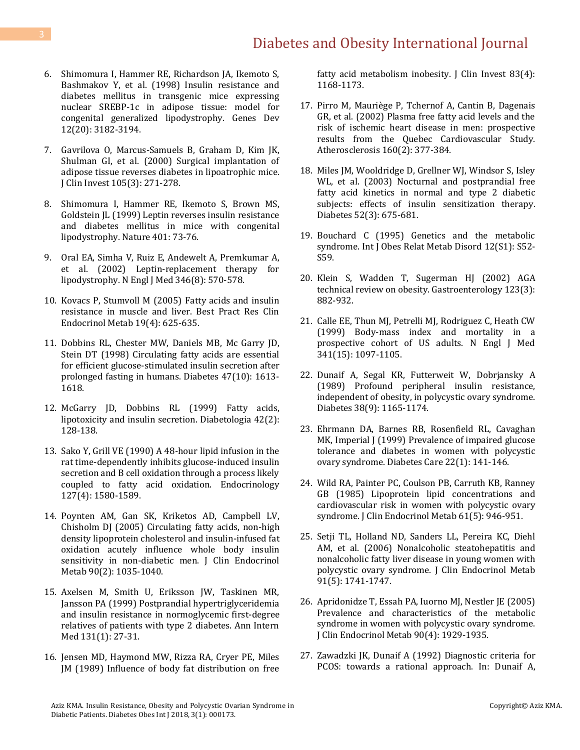# Diabetes and Obesity International Journal

- 6. [Shimomura I, Hammer RE, Richardson JA, Ikemoto S,](https://www.ncbi.nlm.nih.gov/pubmed/9784493)  [Bashmakov Y, et al. \(1998\) Insulin resistance and](https://www.ncbi.nlm.nih.gov/pubmed/9784493)  [diabetes mellitus in transgenic mice expressing](https://www.ncbi.nlm.nih.gov/pubmed/9784493)  [nuclear SREBP-1c in adipose tissue: model for](https://www.ncbi.nlm.nih.gov/pubmed/9784493)  [congenital generalized lipodystrophy. Genes Dev](https://www.ncbi.nlm.nih.gov/pubmed/9784493)  [12\(20\): 3182-3194.](https://www.ncbi.nlm.nih.gov/pubmed/9784493)
- 7. [Gavrilova O, Marcus-Samuels B, Graham D, Kim JK,](https://www.ncbi.nlm.nih.gov/pubmed/10675352/)  [Shulman GI, et al. \(2000\) Surgical implantation of](https://www.ncbi.nlm.nih.gov/pubmed/10675352/)  [adipose tissue reverses diabetes in lipoatrophic mice.](https://www.ncbi.nlm.nih.gov/pubmed/10675352/)  [J Clin Invest 105\(3\): 271-278.](https://www.ncbi.nlm.nih.gov/pubmed/10675352/)
- 8. [Shimomura I, Hammer RE, Ikemoto S, Brown MS,](https://www.nature.com/articles/43448)  [Goldstein JL \(1999\) Leptin reverses insulin resistance](https://www.nature.com/articles/43448)  [and diabetes mellitus in mice with congenital](https://www.nature.com/articles/43448)  [lipodystrophy. Nature 401: 73-76.](https://www.nature.com/articles/43448)
- 9. [Oral EA, Simha V, Ruiz E, Andewelt A, Premkumar A,](https://www.ncbi.nlm.nih.gov/pubmed/11856796)  [et al. \(2002\) Leptin-replacement therapy for](https://www.ncbi.nlm.nih.gov/pubmed/11856796)  [lipodystrophy. N Engl J Med 346\(8\): 570-578.](https://www.ncbi.nlm.nih.gov/pubmed/11856796)
- 10. [Kovacs P, Stumvoll M \(2005\) Fatty acids and insulin](https://www.ncbi.nlm.nih.gov/pubmed/16311221)  [resistance in muscle and liver. Best Pract Res Clin](https://www.ncbi.nlm.nih.gov/pubmed/16311221)  [Endocrinol Metab 19\(4\): 625-635.](https://www.ncbi.nlm.nih.gov/pubmed/16311221)
- 11. [Dobbins RL, Chester MW, Daniels MB, Mc Garry JD,](https://www.ncbi.nlm.nih.gov/pubmed/9753300)  [Stein DT \(1998\) Circulating fatty acids are essential](https://www.ncbi.nlm.nih.gov/pubmed/9753300)  [for efficient glucose-stimulated insulin secretion after](https://www.ncbi.nlm.nih.gov/pubmed/9753300)  [prolonged fasting in humans. Diabetes 47\(10\): 1613-](https://www.ncbi.nlm.nih.gov/pubmed/9753300) [1618.](https://www.ncbi.nlm.nih.gov/pubmed/9753300)
- 12. [McGarry JD, Dobbins RL \(1999\) Fatty acids,](https://www.ncbi.nlm.nih.gov/pubmed/10064091)  [lipotoxicity and insulin secretion. Diabetologia 42\(2\):](https://www.ncbi.nlm.nih.gov/pubmed/10064091)  [128-138.](https://www.ncbi.nlm.nih.gov/pubmed/10064091)
- 13. [Sako Y, Grill VE \(1990\) A 48-hour lipid infusion in the](https://www.ncbi.nlm.nih.gov/pubmed/1698143)  [rat time-dependently inhibits glucose-induced insulin](https://www.ncbi.nlm.nih.gov/pubmed/1698143)  [secretion and B cell oxidation through a process likely](https://www.ncbi.nlm.nih.gov/pubmed/1698143)  [coupled to fatty acid oxidation. Endocrinology](https://www.ncbi.nlm.nih.gov/pubmed/1698143)  [127\(4\): 1580-1589.](https://www.ncbi.nlm.nih.gov/pubmed/1698143)
- 14. [Poynten AM, Gan SK, Kriketos AD, Campbell LV,](https://www.ncbi.nlm.nih.gov/pubmed/15562033)  [Chisholm DJ \(2005\) Circulating fatty acids, non-high](https://www.ncbi.nlm.nih.gov/pubmed/15562033)  [density lipoprotein cholesterol and insulin-infused fat](https://www.ncbi.nlm.nih.gov/pubmed/15562033)  [oxidation acutely influence whole body insulin](https://www.ncbi.nlm.nih.gov/pubmed/15562033)  [sensitivity in non-diabetic men. J Clin Endocrinol](https://www.ncbi.nlm.nih.gov/pubmed/15562033)  [Metab 90\(2\): 1035-1040.](https://www.ncbi.nlm.nih.gov/pubmed/15562033)
- 15. [Axelsen M, Smith U, Eriksson JW, Taskinen MR,](https://www.ncbi.nlm.nih.gov/pubmed/10391812)  [Jansson PA \(1999\) Postprandial hypertriglyceridemia](https://www.ncbi.nlm.nih.gov/pubmed/10391812)  [and insulin resistance in normoglycemic first-degree](https://www.ncbi.nlm.nih.gov/pubmed/10391812)  [relatives of patients with type 2 diabetes. Ann Intern](https://www.ncbi.nlm.nih.gov/pubmed/10391812)  [Med 131\(1\): 27-31.](https://www.ncbi.nlm.nih.gov/pubmed/10391812)
- 16. [Jensen MD, Haymond MW, Rizza RA, Cryer PE, Miles](https://www.ncbi.nlm.nih.gov/pubmed/2649512/)  [JM \(1989\) Influence of body fat distribution on free](https://www.ncbi.nlm.nih.gov/pubmed/2649512/)

fatty acid metabolism inobesity. J Clin Invest 83(4): [1168-1173.](https://www.ncbi.nlm.nih.gov/pubmed/2649512/)

- 17. [Pirro M, Mauriège P, Tchernof A, Cantin B, Dagenais](https://www.ncbi.nlm.nih.gov/pubmed/11849661)  [GR, et al. \(2002\) Plasma free fatty acid levels and the](https://www.ncbi.nlm.nih.gov/pubmed/11849661)  [risk of ischemic heart disease in men: prospective](https://www.ncbi.nlm.nih.gov/pubmed/11849661)  [results from the Quebec Cardiovascular Study.](https://www.ncbi.nlm.nih.gov/pubmed/11849661)  [Atherosclerosis 160\(2\): 377-384.](https://www.ncbi.nlm.nih.gov/pubmed/11849661)
- 18. [Miles JM, Wooldridge D, Grellner WJ, Windsor S, Isley](https://www.ncbi.nlm.nih.gov/pubmed/12606508)  [WL, et al. \(2003\) Nocturnal and postprandial free](https://www.ncbi.nlm.nih.gov/pubmed/12606508)  [fatty acid kinetics in normal and type 2 diabetic](https://www.ncbi.nlm.nih.gov/pubmed/12606508)  [subjects: effects of insulin sensitization therapy.](https://www.ncbi.nlm.nih.gov/pubmed/12606508)  [Diabetes 52\(3\): 675-681.](https://www.ncbi.nlm.nih.gov/pubmed/12606508)
- 19. [Bouchard C \(1995\) Genetics and the metabolic](https://www.ncbi.nlm.nih.gov/pubmed/7550538)  [syndrome. Int J Obes Relat Metab Disord 12\(S1\): S52-](https://www.ncbi.nlm.nih.gov/pubmed/7550538) [S59.](https://www.ncbi.nlm.nih.gov/pubmed/7550538)
- 20. Klein S, Wadden T, Sugerman HJ (2002) AGA [technical review on obesity. Gastroenterology 123\(3\):](https://www.ncbi.nlm.nih.gov/pubmed/12198715)  [882-932.](https://www.ncbi.nlm.nih.gov/pubmed/12198715)
- 21. [Calle EE, Thun MJ, Petrelli MJ, Rodriguez C, Heath CW](https://www.ncbi.nlm.nih.gov/pubmed/10511607)  [\(1999\) Body-mass index and mortality in a](https://www.ncbi.nlm.nih.gov/pubmed/10511607)  [prospective cohort of US adults. N Engl J Med](https://www.ncbi.nlm.nih.gov/pubmed/10511607)  [341\(15\): 1097-1105.](https://www.ncbi.nlm.nih.gov/pubmed/10511607)
- 22. [Dunaif A, Segal KR, Futterweit W, Dobrjansky](https://www.ncbi.nlm.nih.gov/pubmed/2670645) A [\(1989\) Profound peripheral insulin resistance,](https://www.ncbi.nlm.nih.gov/pubmed/2670645)  [independent of obesity, in polycystic ovary syndrome.](https://www.ncbi.nlm.nih.gov/pubmed/2670645)  [Diabetes 38\(9\): 1165-1174.](https://www.ncbi.nlm.nih.gov/pubmed/2670645)
- 23. [Ehrmann DA, Barnes RB, Rosenfield RL, Cavaghan](https://www.ncbi.nlm.nih.gov/pubmed/10333916)  MK, Imperial J (1999) Prevalence of impaired glucose [tolerance and diabetes in women with polycystic](https://www.ncbi.nlm.nih.gov/pubmed/10333916)  [ovary syndrome. Diabetes Care 22\(1\): 141-146.](https://www.ncbi.nlm.nih.gov/pubmed/10333916)
- 24. [Wild RA, Painter PC, Coulson PB, Carruth KB, Ranney](https://www.ncbi.nlm.nih.gov/pubmed/4044782)  [GB \(1985\) Lipoprotein lipid concentrations and](https://www.ncbi.nlm.nih.gov/pubmed/4044782)  [cardiovascular risk in women with polycystic ovary](https://www.ncbi.nlm.nih.gov/pubmed/4044782)  [syndrome. J Clin Endocrinol Metab 61\(5\): 946-951.](https://www.ncbi.nlm.nih.gov/pubmed/4044782)
- 25. [Setji TL, Holland ND, Sanders LL, Pereira KC, Diehl](https://www.ncbi.nlm.nih.gov/pubmed/16492691)  [AM, et al. \(2006\) Nonalcoholic steatohepatitis and](https://www.ncbi.nlm.nih.gov/pubmed/16492691)  [nonalcoholic fatty liver disease in young women with](https://www.ncbi.nlm.nih.gov/pubmed/16492691)  [polycystic ovary syndrome. J Clin Endocrinol Metab](https://www.ncbi.nlm.nih.gov/pubmed/16492691)  [91\(5\): 1741-1747.](https://www.ncbi.nlm.nih.gov/pubmed/16492691)
- 26. [Apridonidze T, Essah PA, Iuorno](https://www.ncbi.nlm.nih.gov/pubmed/15623819) MJ, Nestler JE (2005) [Prevalence and characteristics of the metabolic](https://www.ncbi.nlm.nih.gov/pubmed/15623819)  [syndrome in women with polycystic ovary syndrome.](https://www.ncbi.nlm.nih.gov/pubmed/15623819)  [J Clin Endocrinol Metab 90\(4\): 1929-1935.](https://www.ncbi.nlm.nih.gov/pubmed/15623819)
- 27. Zawadzki JK, Dunaif A (1992) Diagnostic criteria for PCOS: towards a rational approach. In: Dunaif A,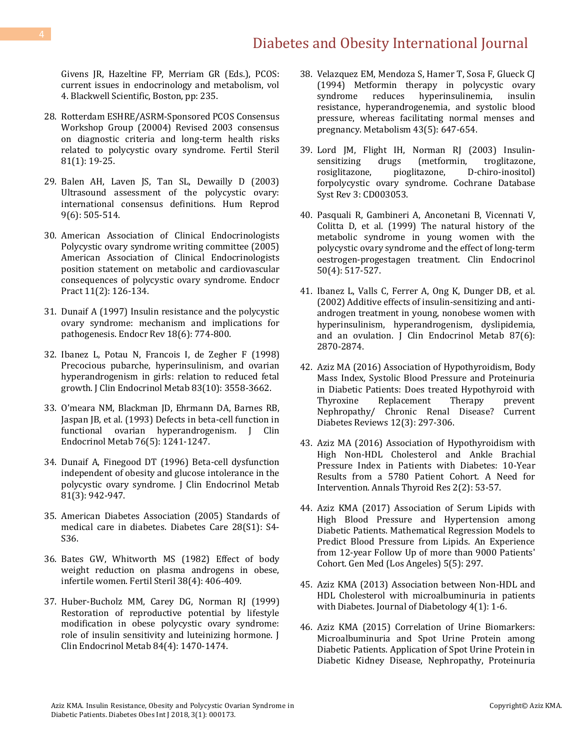# Diabetes and Obesity International Journal

Givens JR, Hazeltine FP, Merriam GR (Eds.), PCOS: current issues in endocrinology and metabolism, vol 4. Blackwell Scientific, Boston, pp: 235.

- 28. [Rotterdam ESHRE/ASRM-Sponsored PCOS Consensus](https://www.ncbi.nlm.nih.gov/pubmed/14711538)  [Workshop Group \(20004\) Revised 2003 consensus](https://www.ncbi.nlm.nih.gov/pubmed/14711538)  [on diagnostic criteria and long-term health risks](https://www.ncbi.nlm.nih.gov/pubmed/14711538)  [related to polycystic ovary syndrome. Fertil Steril](https://www.ncbi.nlm.nih.gov/pubmed/14711538)  [81\(1\): 19-25.](https://www.ncbi.nlm.nih.gov/pubmed/14711538)
- 29. [Balen AH, Laven JS, Tan SL, Dewailly D \(2003\)](https://www.ncbi.nlm.nih.gov/pubmed/14714587)  [Ultrasound assessment of the polycystic ovary:](https://www.ncbi.nlm.nih.gov/pubmed/14714587)  [international consensus definitions. Hum Reprod](https://www.ncbi.nlm.nih.gov/pubmed/14714587)  [9\(6\): 505-514.](https://www.ncbi.nlm.nih.gov/pubmed/14714587)
- 30. [American Association of Clinical Endocrinologists](https://www.ncbi.nlm.nih.gov/pubmed/15915567)  [Polycystic ovary syndrome writing committee \(2005\)](https://www.ncbi.nlm.nih.gov/pubmed/15915567)  [American Association of Clinical Endocrinologists](https://www.ncbi.nlm.nih.gov/pubmed/15915567)  [position statement on metabolic and cardiovascular](https://www.ncbi.nlm.nih.gov/pubmed/15915567)  [consequences of polycystic ovary syndrome. Endocr](https://www.ncbi.nlm.nih.gov/pubmed/15915567)  [Pract 11\(2\): 126-134.](https://www.ncbi.nlm.nih.gov/pubmed/15915567)
- 31. [Dunaif A \(1997\) Insulin resistance and the polycystic](https://www.ncbi.nlm.nih.gov/pubmed/9408743)  [ovary syndrome: mechanism and implications for](https://www.ncbi.nlm.nih.gov/pubmed/9408743)  [pathogenesis. Endocr Rev 18\(6\): 774-800.](https://www.ncbi.nlm.nih.gov/pubmed/9408743)
- 32. [Ibanez L, Potau N, Francois I, de Zegher F \(1998\)](https://www.ncbi.nlm.nih.gov/pubmed/9768664)  [Precocious pubarche, hyperinsulinism, and ovarian](https://www.ncbi.nlm.nih.gov/pubmed/9768664)  [hyperandrogenism in girls: relation to reduced fetal](https://www.ncbi.nlm.nih.gov/pubmed/9768664)  [growth. J Clin Endocrinol Metab 83\(10\): 3558-3662.](https://www.ncbi.nlm.nih.gov/pubmed/9768664)
- 33. [O'meara NM, Blackman JD, Ehrmann DA](https://www.ncbi.nlm.nih.gov/pubmed/8496316), Barnes RB, [Jaspan JB, et al. \(1993\) Defects in beta-cell function in](https://www.ncbi.nlm.nih.gov/pubmed/8496316)  [functional ovarian hyperandrogenism. J Clin](https://www.ncbi.nlm.nih.gov/pubmed/8496316)  [Endocrinol Metab 76\(5\): 1241-1247.](https://www.ncbi.nlm.nih.gov/pubmed/8496316)
- 34. [Dunaif A, Finegood DT \(1996\) Beta-cell dysfunction](https://www.ncbi.nlm.nih.gov/pubmed/8772555)  [independent of obesity and glucose intolerance in the](https://www.ncbi.nlm.nih.gov/pubmed/8772555)  [polycystic ovary syndrome. J Clin Endocrinol Metab](https://www.ncbi.nlm.nih.gov/pubmed/8772555)  [81\(3\): 942-947.](https://www.ncbi.nlm.nih.gov/pubmed/8772555)
- 35. [American Diabetes Association \(2005\) Standards of](https://www.ncbi.nlm.nih.gov/pubmed/15618112)  [medical care in diabetes. Diabetes Care 28\(S1\): S4-](https://www.ncbi.nlm.nih.gov/pubmed/15618112) [S36.](https://www.ncbi.nlm.nih.gov/pubmed/15618112)
- 36. [Bates GW, Whitworth MS \(1982\) Effect of body](https://www.ncbi.nlm.nih.gov/pubmed/6811336)  [weight reduction on plasma androgens in obese,](https://www.ncbi.nlm.nih.gov/pubmed/6811336)  [infertile women. Fertil Steril 38\(4\): 406-409.](https://www.ncbi.nlm.nih.gov/pubmed/6811336)
- 37. Huber-Bucholz MM, Carey DG, Norman RJ (1999) [Restoration of reproductive potential by lifestyle](https://www.ncbi.nlm.nih.gov/pubmed/10199797)  [modification in obese polycystic ovary syndrome:](https://www.ncbi.nlm.nih.gov/pubmed/10199797)  [role of insulin sensitivity and luteinizing hormone. J](https://www.ncbi.nlm.nih.gov/pubmed/10199797)  Clin Endocrinol [Metab 84\(4\): 1470-1474.](https://www.ncbi.nlm.nih.gov/pubmed/10199797)
- 38. [Velazquez EM, Mendoza S, Hamer T, Sosa F, Glueck CJ](https://www.ncbi.nlm.nih.gov/pubmed/8177055)  [\(1994\) Metformin therapy in polycystic ovary](https://www.ncbi.nlm.nih.gov/pubmed/8177055)  [syndrome reduces hyperinsulinemia, insulin](https://www.ncbi.nlm.nih.gov/pubmed/8177055)  [resistance, hyperandrogenemia, and systolic blood](https://www.ncbi.nlm.nih.gov/pubmed/8177055)  [pressure, whereas facilitating normal menses and](https://www.ncbi.nlm.nih.gov/pubmed/8177055)  [pregnancy. Metabolism 43\(5\): 647-654.](https://www.ncbi.nlm.nih.gov/pubmed/8177055)
- 39. [Lord JM, Flight IH, Norman RJ \(2003\) Insulin](http://onlinelibrary.wiley.com/doi/10.1002/14651858.CD003053/abstract)[sensitizing drugs \(metformin, troglitazone,](http://onlinelibrary.wiley.com/doi/10.1002/14651858.CD003053/abstract)  [rosiglitazone, pioglitazone, D-chiro-inositol\)](http://onlinelibrary.wiley.com/doi/10.1002/14651858.CD003053/abstract)  [forpolycystic ovary syndrome. Cochrane Database](http://onlinelibrary.wiley.com/doi/10.1002/14651858.CD003053/abstract)  [Syst Rev 3: CD003053.](http://onlinelibrary.wiley.com/doi/10.1002/14651858.CD003053/abstract)
- 40. [Pasquali R, Gambineri A, Anconetani B, Vicennati V,](https://www.ncbi.nlm.nih.gov/pubmed/10468913)  [Colitta D, et al. \(1999\) The natural history of the](https://www.ncbi.nlm.nih.gov/pubmed/10468913)  [metabolic syndrome in young women with the](https://www.ncbi.nlm.nih.gov/pubmed/10468913)  [polycystic ovary syndrome and the effect of long-term](https://www.ncbi.nlm.nih.gov/pubmed/10468913)  [oestrogen-progestagen treatment. Clin Endocrinol](https://www.ncbi.nlm.nih.gov/pubmed/10468913)  [50\(4\): 517-527.](https://www.ncbi.nlm.nih.gov/pubmed/10468913)
- 41. [Ibanez L, Valls C, Ferrer A, Ong K, Dunger DB, et al.](https://www.ncbi.nlm.nih.gov/pubmed/12050266)  [\(2002\) Additive effects of insulin-sensitizing and anti](https://www.ncbi.nlm.nih.gov/pubmed/12050266)[androgen treatment in young, nonobese women with](https://www.ncbi.nlm.nih.gov/pubmed/12050266)  [hyperinsulinism, hyperandrogenism, dyslipidemia,](https://www.ncbi.nlm.nih.gov/pubmed/12050266)  [and an ovulation. J Clin Endocrinol Metab 87\(6\):](https://www.ncbi.nlm.nih.gov/pubmed/12050266)  [2870-2874.](https://www.ncbi.nlm.nih.gov/pubmed/12050266)
- 42. [Aziz MA \(2016\) Association of Hypothyroidism, Body](http://www.eurekaselect.com/136220/article)  [Mass Index, Systolic Blood Pressure and Proteinuria](http://www.eurekaselect.com/136220/article)  [in Diabetic Patients: Does treated Hypothyroid with](http://www.eurekaselect.com/136220/article)  [Thyroxine Replacement Therapy prevent](http://www.eurekaselect.com/136220/article)  [Nephropathy/ Chronic Renal Disease? Current](http://www.eurekaselect.com/136220/article)  [Diabetes Reviews 12\(3\): 297-306.](http://www.eurekaselect.com/136220/article)
- 43. [Aziz MA \(2016\) Association of Hypothyroidism with](http://austinpublishinggroup.com/thyroid-research/fulltext/thyroids-v2-id1014.php)  [High Non-HDL Cholesterol and Ankle Brachial](http://austinpublishinggroup.com/thyroid-research/fulltext/thyroids-v2-id1014.php)  [Pressure Index in Patients with Diabetes: 10-Year](http://austinpublishinggroup.com/thyroid-research/fulltext/thyroids-v2-id1014.php)  [Results from a 5780 Patient Cohort. A Need for](http://austinpublishinggroup.com/thyroid-research/fulltext/thyroids-v2-id1014.php)  [Intervention. Annals Thyroid Res 2\(2\): 53-57.](http://austinpublishinggroup.com/thyroid-research/fulltext/thyroids-v2-id1014.php)
- 44. [Aziz KMA \(2017\) Association of Serum Lipids with](https://www.omicsonline.org/open-access/association-of-serum-lipids-with-high-blood-pressure-and-hypertensionamong-diabetic-patients-mathematical-regression-models-to-pre-2327-5146-1000297-94007.html)  [High Blood Pressure and Hypertension among](https://www.omicsonline.org/open-access/association-of-serum-lipids-with-high-blood-pressure-and-hypertensionamong-diabetic-patients-mathematical-regression-models-to-pre-2327-5146-1000297-94007.html)  [Diabetic Patients. Mathematical Regression Models to](https://www.omicsonline.org/open-access/association-of-serum-lipids-with-high-blood-pressure-and-hypertensionamong-diabetic-patients-mathematical-regression-models-to-pre-2327-5146-1000297-94007.html)  [Predict Blood Pressure from Lipids. An Experience](https://www.omicsonline.org/open-access/association-of-serum-lipids-with-high-blood-pressure-and-hypertensionamong-diabetic-patients-mathematical-regression-models-to-pre-2327-5146-1000297-94007.html)  [from 12-year Follow Up of more than 9000 Patients'](https://www.omicsonline.org/open-access/association-of-serum-lipids-with-high-blood-pressure-and-hypertensionamong-diabetic-patients-mathematical-regression-models-to-pre-2327-5146-1000297-94007.html)  [Cohort. Gen Med \(Los Angeles\) 5\(5\): 297.](https://www.omicsonline.org/open-access/association-of-serum-lipids-with-high-blood-pressure-and-hypertensionamong-diabetic-patients-mathematical-regression-models-to-pre-2327-5146-1000297-94007.html)
- 45. [Aziz KMA \(2013\) Association between Non-HDL and](http://www.journalofdiabetology.org/article.asp?issn=2078-7685;year=2013;volume=4;issue=1;spage=6;epage=6;aulast=Aziz;type=0)  [HDL Cholesterol with microalbuminuria in patients](http://www.journalofdiabetology.org/article.asp?issn=2078-7685;year=2013;volume=4;issue=1;spage=6;epage=6;aulast=Aziz;type=0)  [with Diabetes. Journal of Diabetology 4\(1\): 1-6.](http://www.journalofdiabetology.org/article.asp?issn=2078-7685;year=2013;volume=4;issue=1;spage=6;epage=6;aulast=Aziz;type=0)
- 46. [Aziz KMA \(2015\) Correlation of Urine Biomarkers:](https://www.ncbi.nlm.nih.gov/pubmed/26152133)  [Microalbuminuria and Spot Urine Protein among](https://www.ncbi.nlm.nih.gov/pubmed/26152133)  [Diabetic Patients. Application of Spot Urine Protein in](https://www.ncbi.nlm.nih.gov/pubmed/26152133)  [Diabetic Kidney Disease, Nephropathy, Proteinuria](https://www.ncbi.nlm.nih.gov/pubmed/26152133)